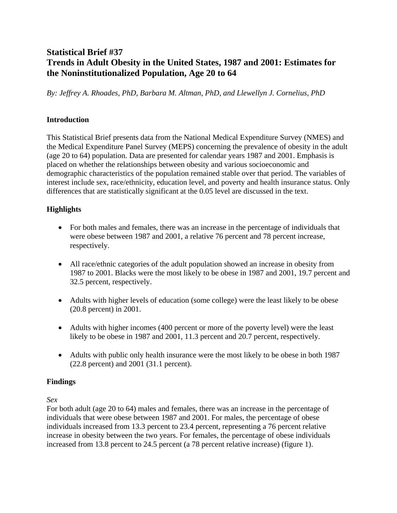# **Statistical Brief #37 Trends in Adult Obesity in the United States, 1987 and 2001: Estimates for the Noninstitutionalized Population, Age 20 to 64**

*By: Jeffrey A. Rhoades, PhD, Barbara M. Altman, PhD, and Llewellyn J. Cornelius, PhD* 

#### **Introduction**

This Statistical Brief presents data from the National Medical Expenditure Survey (NMES) and the Medical Expenditure Panel Survey (MEPS) concerning the prevalence of obesity in the adult (age 20 to 64) population. Data are presented for calendar years 1987 and 2001. Emphasis is placed on whether the relationships between obesity and various socioeconomic and demographic characteristics of the population remained stable over that period. The variables of interest include sex, race/ethnicity, education level, and poverty and health insurance status. Only differences that are statistically significant at the 0.05 level are discussed in the text.

# **Highlights**

- For both males and females, there was an increase in the percentage of individuals that were obese between 1987 and 2001, a relative 76 percent and 78 percent increase, respectively.
- All race/ethnic categories of the adult population showed an increase in obesity from 1987 to 2001. Blacks were the most likely to be obese in 1987 and 2001, 19.7 percent and 32.5 percent, respectively.
- Adults with higher levels of education (some college) were the least likely to be obese (20.8 percent) in 2001.
- Adults with higher incomes (400 percent or more of the poverty level) were the least likely to be obese in 1987 and 2001, 11.3 percent and 20.7 percent, respectively.
- Adults with public only health insurance were the most likely to be obese in both 1987 (22.8 percent) and 2001 (31.1 percent).

# **Findings**

*Sex* 

For both adult (age 20 to 64) males and females, there was an increase in the percentage of individuals that were obese between 1987 and 2001. For males, the percentage of obese individuals increased from 13.3 percent to 23.4 percent, representing a 76 percent relative increase in obesity between the two years. For females, the percentage of obese individuals increased from 13.8 percent to 24.5 percent (a 78 percent relative increase) (figure 1).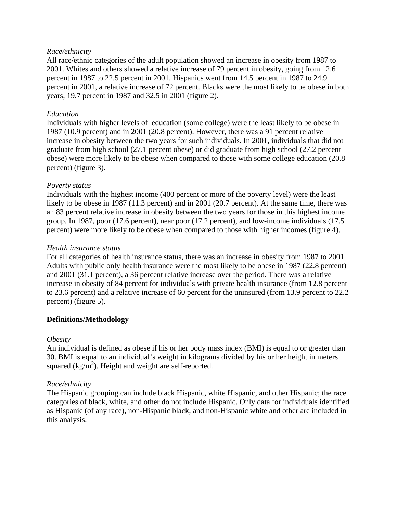#### *Race/ethnicity*

All race/ethnic categories of the adult population showed an increase in obesity from 1987 to 2001. Whites and others showed a relative increase of 79 percent in obesity, going from 12.6 percent in 1987 to 22.5 percent in 2001. Hispanics went from 14.5 percent in 1987 to 24.9 percent in 2001, a relative increase of 72 percent. Blacks were the most likely to be obese in both years, 19.7 percent in 1987 and 32.5 in 2001 (figure 2).

#### *Education*

Individuals with higher levels of education (some college) were the least likely to be obese in 1987 (10.9 percent) and in 2001 (20.8 percent). However, there was a 91 percent relative increase in obesity between the two years for such individuals. In 2001, individuals that did not graduate from high school (27.1 percent obese) or did graduate from high school (27.2 percent obese) were more likely to be obese when compared to those with some college education (20.8 percent) (figure 3).

#### *Poverty status*

Individuals with the highest income (400 percent or more of the poverty level) were the least likely to be obese in 1987 (11.3 percent) and in 2001 (20.7 percent). At the same time, there was an 83 percent relative increase in obesity between the two years for those in this highest income group. In 1987, poor (17.6 percent), near poor (17.2 percent), and low-income individuals (17.5 percent) were more likely to be obese when compared to those with higher incomes (figure 4).

#### *Health insurance status*

For all categories of health insurance status, there was an increase in obesity from 1987 to 2001. Adults with public only health insurance were the most likely to be obese in 1987 (22.8 percent) and 2001 (31.1 percent), a 36 percent relative increase over the period. There was a relative increase in obesity of 84 percent for individuals with private health insurance (from 12.8 percent to 23.6 percent) and a relative increase of 60 percent for the uninsured (from 13.9 percent to 22.2 percent) (figure 5).

# **Definitions/Methodology**

# *Obesity*

An individual is defined as obese if his or her body mass index (BMI) is equal to or greater than 30. BMI is equal to an individual's weight in kilograms divided by his or her height in meters squared  $(kg/m^2)$ . Height and weight are self-reported.

# *Race/ethnicity*

The Hispanic grouping can include black Hispanic, white Hispanic, and other Hispanic; the race categories of black, white, and other do not include Hispanic. Only data for individuals identified as Hispanic (of any race), non-Hispanic black, and non-Hispanic white and other are included in this analysis.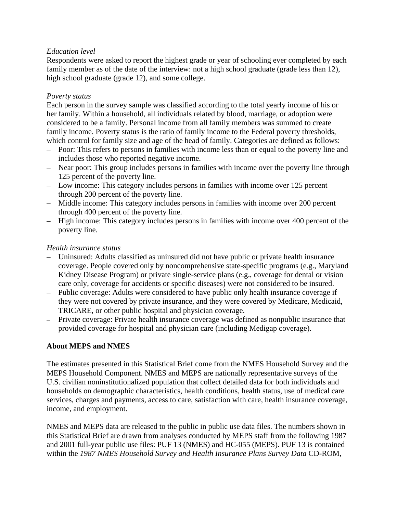# *Education level*

Respondents were asked to report the highest grade or year of schooling ever completed by each family member as of the date of the interview: not a high school graduate (grade less than 12), high school graduate (grade 12), and some college.

# *Poverty status*

Each person in the survey sample was classified according to the total yearly income of his or her family. Within a household, all individuals related by blood, marriage, or adoption were considered to be a family. Personal income from all family members was summed to create family income. Poverty status is the ratio of family income to the Federal poverty thresholds, which control for family size and age of the head of family. Categories are defined as follows:

- Poor: This refers to persons in families with income less than or equal to the poverty line and includes those who reported negative income.
- Near poor: This group includes persons in families with income over the poverty line through 125 percent of the poverty line.
- Low income: This category includes persons in families with income over 125 percent through 200 percent of the poverty line.
- Middle income: This category includes persons in families with income over 200 percent through 400 percent of the poverty line.
- High income: This category includes persons in families with income over 400 percent of the poverty line.

# *Health insurance status*

- Uninsured: Adults classified as uninsured did not have public or private health insurance coverage. People covered only by noncomprehensive state-specific programs (e.g., Maryland Kidney Disease Program) or private single-service plans (e.g., coverage for dental or vision care only, coverage for accidents or specific diseases) were not considered to be insured.
- Public coverage: Adults were considered to have public only health insurance coverage if they were not covered by private insurance, and they were covered by Medicare, Medicaid, TRICARE, or other public hospital and physician coverage.
- Private coverage: Private health insurance coverage was defined as nonpublic insurance that provided coverage for hospital and physician care (including Medigap coverage).

# **About MEPS and NMES**

The estimates presented in this Statistical Brief come from the NMES Household Survey and the MEPS Household Component. NMES and MEPS are nationally representative surveys of the U.S. civilian noninstitutionalized population that collect detailed data for both individuals and households on demographic characteristics, health conditions, health status, use of medical care services, charges and payments, access to care, satisfaction with care, health insurance coverage, income, and employment.

NMES and MEPS data are released to the public in public use data files. The numbers shown in this Statistical Brief are drawn from analyses conducted by MEPS staff from the following 1987 and 2001 full-year public use files: PUF 13 (NMES) and HC-055 (MEPS). PUF 13 is contained within the *1987 NMES Household Survey and Health Insurance Plans Survey Data* CD-ROM,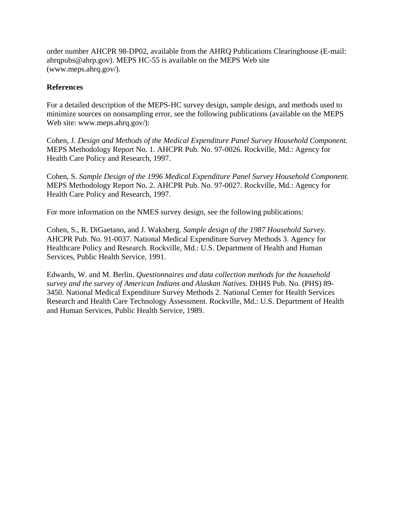order number AHCPR 98-DP02, available from the AHRQ Publications Clearinghouse (E-mail: ahrqpubs@ahrp.gov). MEPS HC-55 is available on the MEPS Web site (www.meps.ahrq.gov/).

#### **References**

For a detailed description of the MEPS-HC survey design, sample design, and methods used to minimize sources on nonsampling error, see the following publications (available on the MEPS Web site: www.meps.ahrq.gov/):

Cohen, J. *Design and Methods of the Medical Expenditure Panel Survey Household Component.*  MEPS Methodology Report No. 1. AHCPR Pub. No. 97-0026. Rockville, Md.: Agency for Health Care Policy and Research, 1997.

Cohen, S. *Sample Design of the 1996 Medical Expenditure Panel Survey Household Component.*  MEPS Methodology Report No. 2. AHCPR Pub. No. 97-0027. Rockville, Md.: Agency for Health Care Policy and Research, 1997.

For more information on the NMES survey design, see the following publications:

Cohen, S., R. DiGaetano, and J. Waksberg. *Sample design of the 1987 Household Survey.*  AHCPR Pub. No. 91-0037. National Medical Expenditure Survey Methods 3. Agency for Healthcare Policy and Research. Rockville, Md.: U.S. Department of Health and Human Services, Public Health Service, 1991.

Edwards, W. and M. Berlin. *Questionnaires and data collection methods for the household survey and the survey of American Indians and Alaskan Natives*. DHHS Pub. No. (PHS) 89- 3450. National Medical Expenditure Survey Methods 2. National Center for Health Services Research and Health Care Technology Assessment. Rockville, Md.: U.S. Department of Health and Human Services, Public Health Service, 1989.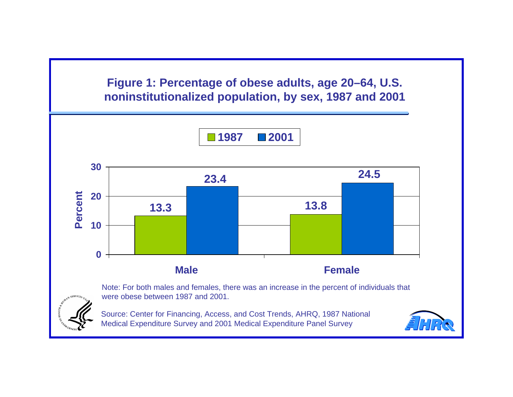**noninstitutionalized population, by sex, 1987 and 2001 Figure 1: Percentage of obese adults, age 20–64, U.S.** 

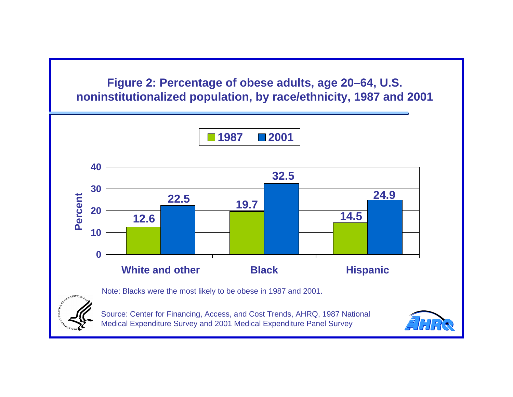**Figure 2: Percentage of obese adults, age 20–64, U.S. noninstitutionalized population, by race/ethnicity, 1987 and 2001** 

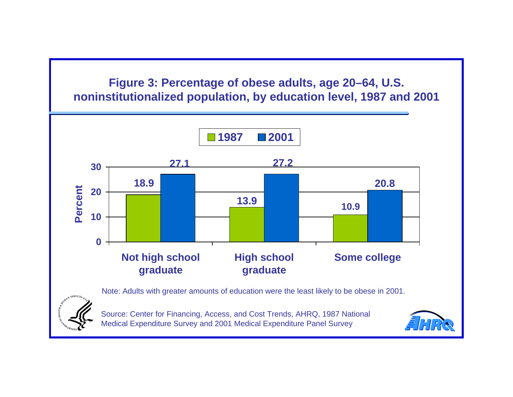**Figure 3: Percentage of obese adults, age 20–64, U.S. noninstitutionalized population, by education level, 1987 and 2001** 

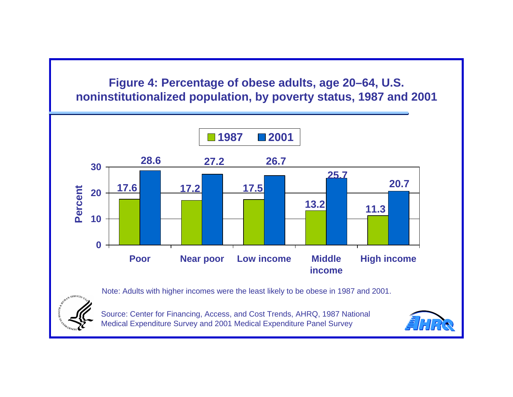# **Figure 4: Percentage of obese adults, age 20–64, U.S. noninstitutionalized population, by poverty status, 1987 and 2001**





Source: Center for Financing, Access, and Cost Trends, AHRQ, 1987 National Medical Expenditure Survey and 2001 Medical Expenditure Panel Survey